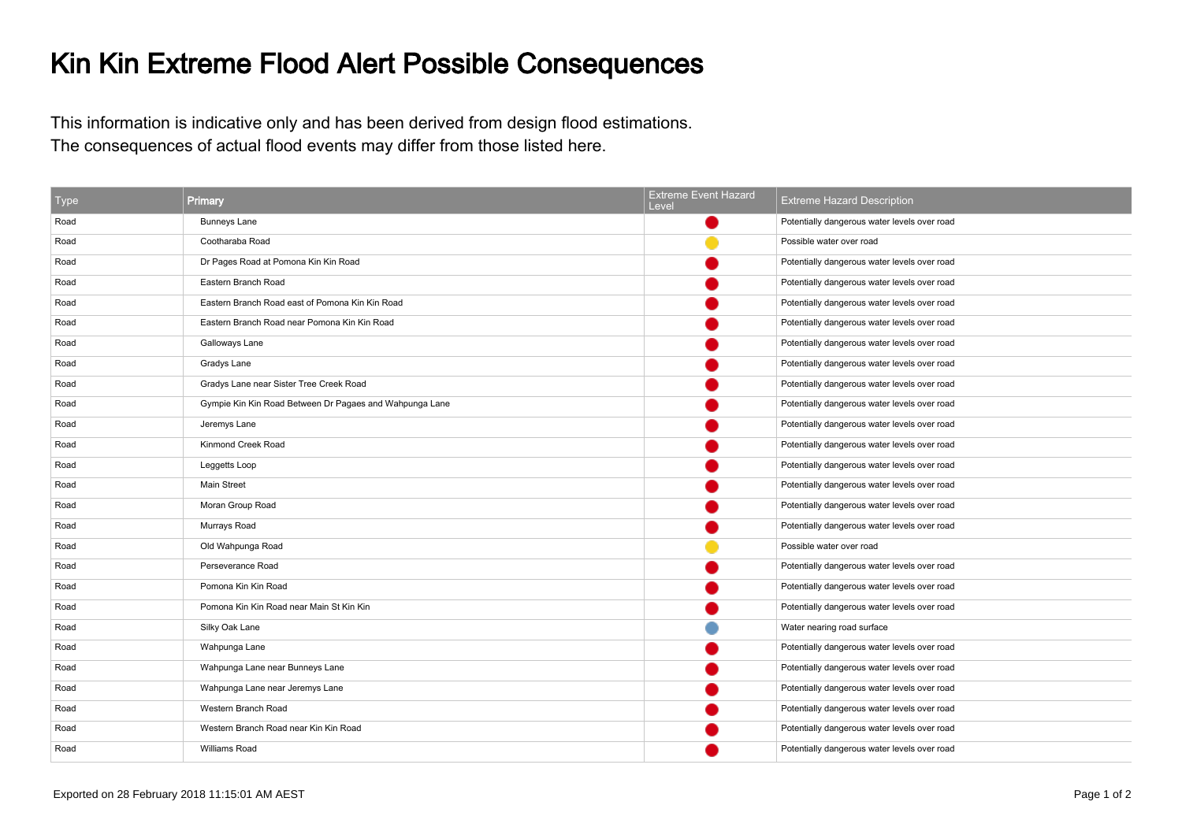## Kin Kin Extreme Flood Alert Possible Consequences

This information is indicative only and has been derived from design flood estimations.The consequences of actual flood events may differ from those listed here.

| Type | Primary                                                 | <b>Extreme Event Hazard</b><br>Level | <b>Extreme Hazard Description</b>            |
|------|---------------------------------------------------------|--------------------------------------|----------------------------------------------|
| Road | <b>Bunneys Lane</b>                                     |                                      | Potentially dangerous water levels over road |
| Road | Cootharaba Road                                         |                                      | Possible water over road                     |
| Road | Dr Pages Road at Pomona Kin Kin Road                    |                                      | Potentially dangerous water levels over road |
| Road | Eastern Branch Road                                     |                                      | Potentially dangerous water levels over road |
| Road | Eastern Branch Road east of Pomona Kin Kin Road         |                                      | Potentially dangerous water levels over road |
| Road | Eastern Branch Road near Pomona Kin Kin Road            |                                      | Potentially dangerous water levels over road |
| Road | Galloways Lane                                          |                                      | Potentially dangerous water levels over road |
| Road | Gradys Lane                                             |                                      | Potentially dangerous water levels over road |
| Road | Gradys Lane near Sister Tree Creek Road                 |                                      | Potentially dangerous water levels over road |
| Road | Gympie Kin Kin Road Between Dr Pagaes and Wahpunga Lane |                                      | Potentially dangerous water levels over road |
| Road | Jeremys Lane                                            |                                      | Potentially dangerous water levels over road |
| Road | Kinmond Creek Road                                      |                                      | Potentially dangerous water levels over road |
| Road | Leggetts Loop                                           |                                      | Potentially dangerous water levels over road |
| Road | Main Street                                             |                                      | Potentially dangerous water levels over road |
| Road | Moran Group Road                                        |                                      | Potentially dangerous water levels over road |
| Road | Murrays Road                                            |                                      | Potentially dangerous water levels over road |
| Road | Old Wahpunga Road                                       |                                      | Possible water over road                     |
| Road | Perseverance Road                                       |                                      | Potentially dangerous water levels over road |
| Road | Pomona Kin Kin Road                                     |                                      | Potentially dangerous water levels over road |
| Road | Pomona Kin Kin Road near Main St Kin Kin                |                                      | Potentially dangerous water levels over road |
| Road | Silky Oak Lane                                          |                                      | Water nearing road surface                   |
| Road | Wahpunga Lane                                           |                                      | Potentially dangerous water levels over road |
| Road | Wahpunga Lane near Bunneys Lane                         |                                      | Potentially dangerous water levels over road |
| Road | Wahpunga Lane near Jeremys Lane                         |                                      | Potentially dangerous water levels over road |
| Road | Western Branch Road                                     |                                      | Potentially dangerous water levels over road |
| Road | Western Branch Road near Kin Kin Road                   |                                      | Potentially dangerous water levels over road |
| Road | Williams Road                                           |                                      | Potentially dangerous water levels over road |